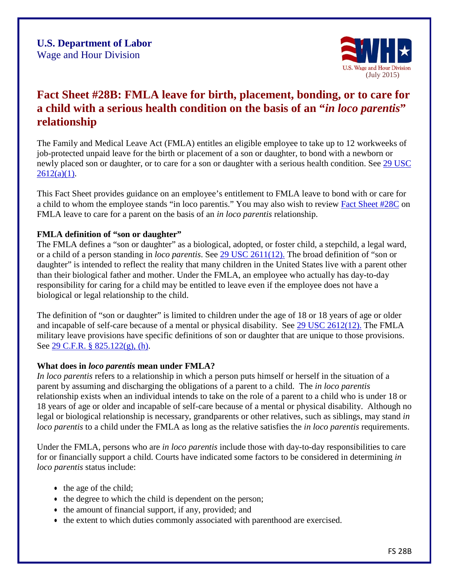

# **Fact Sheet #28B: FMLA leave for birth, placement, bonding, or to care for a child with a serious health condition on the basis of an "***in loco parentis***" relationship**

The Family and Medical Leave Act (FMLA) entitles an eligible employee to take up to 12 workweeks of job-protected unpaid leave for the birth or placement of a son or daughter, to bond with a newborn or newly placed son or daughter, or to care for a son or daughter with a serious health condition. See [29 USC](http://www.dol.gov/whd/fmla/fmlaAmended.htm)   $2612(a)(1)$ .

This Fact Sheet provides guidance on an employee's entitlement to FMLA leave to bond with or care for a child to whom the employee stands "in loco parentis." You may also wish to review [Fact Sheet #28C](http://www.dol.gov/whd/regs/compliance/whdfs28C.htm) on FMLA leave to care for a parent on the basis of an *in loco parentis* relationship.

#### **FMLA definition of "son or daughter"**

The FMLA defines a "son or daughter" as a biological, adopted, or foster child, a stepchild, a legal ward, or a child of a person standing in *loco parentis*. See [29 USC 2611\(12\).](http://www.dol.gov/whd/fmla/fmlaAmended.htm#SEC_101_DEFINITIONS) The broad definition of "son or daughter" is intended to reflect the reality that many children in the United States live with a parent other than their biological father and mother. Under the FMLA, an employee who actually has day-to-day responsibility for caring for a child may be entitled to leave even if the employee does not have a biological or legal relationship to the child.

The definition of "son or daughter" is limited to children under the age of 18 or 18 years of age or older and incapable of self-care because of a mental or physical disability. See [29 USC 2612\(12\).](http://www.dol.gov/whd/fmla/fmlaAmended.htm#SEC_101_DEFINITIONS) The FMLA military leave provisions have specific definitions of son or daughter that are unique to those provisions. See [29 C.F.R. § 825.122\(g\), \(h\).](http://www.dol.gov/cgi-bin/leave-dol.asp?exiturl=http://s.dol.gov/8U&exitTitle=www.ecfr.gov&fedpage=yes)

#### **What does in** *loco parentis* **mean under FMLA?**

*In loco parentis* refers to a relationship in which a person puts himself or herself in the situation of a parent by assuming and discharging the obligations of a parent to a child. The *in loco parentis*  relationship exists when an individual intends to take on the role of a parent to a child who is under 18 or 18 years of age or older and incapable of self-care because of a mental or physical disability. Although no legal or biological relationship is necessary, grandparents or other relatives, such as siblings, may stand *in loco parentis* to a child under the FMLA as long as the relative satisfies the *in loco parentis* requirements.

Under the FMLA, persons who are *in loco parentis* include those with day-to-day responsibilities to care for or financially support a child. Courts have indicated some factors to be considered in determining *in loco parentis* status include:

- the age of the child;
- the degree to which the child is dependent on the person;
- the amount of financial support, if any, provided; and
- the extent to which duties commonly associated with parenthood are exercised.